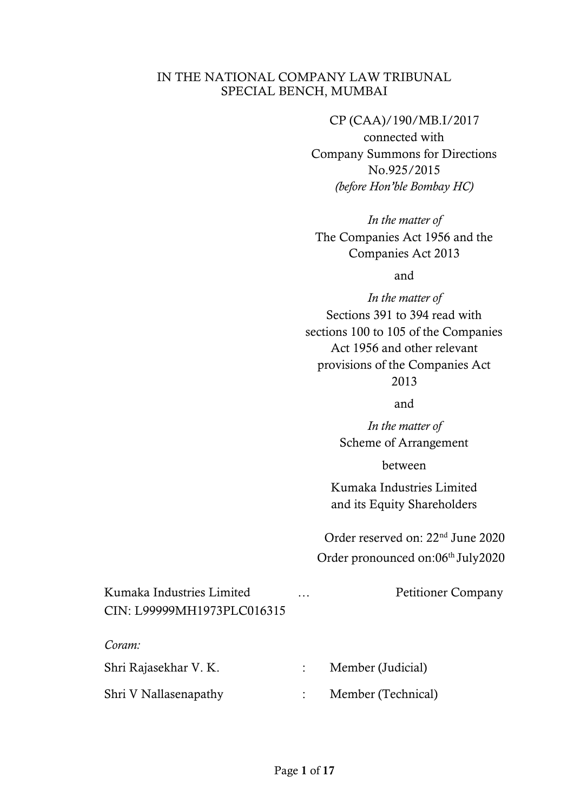### IN THE NATIONAL COMPANY LAW TRIBUNAL SPECIAL BENCH, MUMBAI

CP (CAA)/190/MB.I/2017 connected with Company Summons for Directions No.925/2015 *(before Hon'ble Bombay HC)*

*In the matter of* The Companies Act 1956 and the Companies Act 2013

and

*In the matter of* Sections 391 to 394 read with sections 100 to 105 of the Companies Act 1956 and other relevant provisions of the Companies Act 2013

and

*In the matter of* Scheme of Arrangement

between

Kumaka Industries Limited and its Equity Shareholders

Order reserved on: 22nd June 2020 Order pronounced on:06<sup>th</sup> July2020

| Kumaka Industries Limited  | . | <b>Petitioner Company</b> |  |
|----------------------------|---|---------------------------|--|
| CIN: L99999MH1973PLC016315 |   |                           |  |
|                            |   |                           |  |
| Coram:                     |   |                           |  |
| Shri Rajasekhar V. K.      |   | Member (Judicial)         |  |
| Shri V Nallasenapathy      |   | Member (Technical)        |  |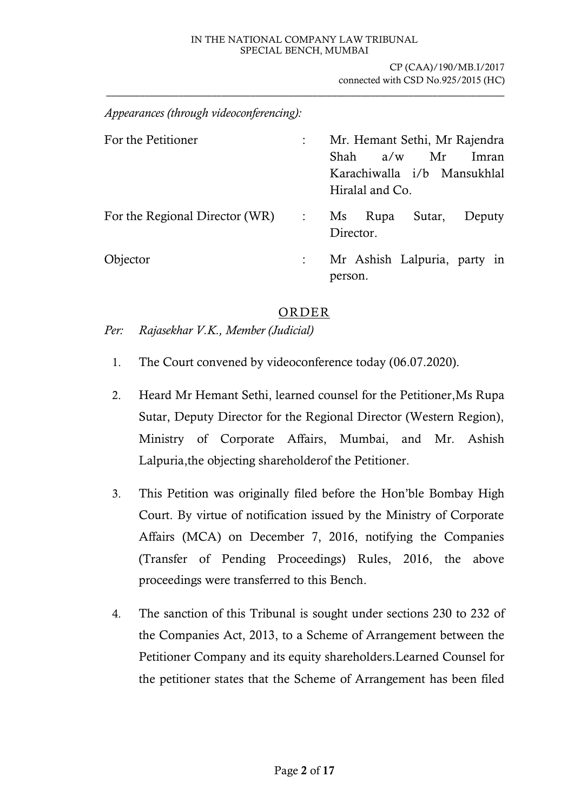#### IN THE NATIONAL COMPANY LAW TRIBUNAL SPECIAL BENCH, MUMBAI

\_\_\_\_\_\_\_\_\_\_\_\_\_\_\_\_\_\_\_\_\_\_\_\_\_\_\_\_\_\_\_\_\_\_\_\_\_\_\_\_\_\_\_\_\_\_\_\_\_\_\_\_\_\_\_\_\_\_\_\_\_\_\_\_\_\_\_\_\_\_\_\_\_\_\_\_\_\_\_\_\_\_\_

CP (CAA)/190/MB.I/2017 connected with CSD No.925/2015 (HC)

*Appearances (through videoconferencing):*

| For the Petitioner             |                                     | Mr. Hemant Sethi, Mr Rajendra<br>Shah<br>a/w<br>Imran<br>Mr<br>Karachiwalla i/b Mansukhlal<br>Hiralal and Co. |
|--------------------------------|-------------------------------------|---------------------------------------------------------------------------------------------------------------|
| For the Regional Director (WR) | $\mathbb{R}^2$ . The $\mathbb{R}^2$ | Sutar,<br>Ms Rupa<br>Deputy<br>Director.                                                                      |
| Objector                       |                                     | Mr Ashish Lalpuria, party in<br>person.                                                                       |

### ORDER

*Per: Rajasekhar V.K., Member (Judicial)*

- 1. The Court convened by videoconference today (06.07.2020).
- 2. Heard Mr Hemant Sethi, learned counsel for the Petitioner,Ms Rupa Sutar, Deputy Director for the Regional Director (Western Region), Ministry of Corporate Affairs, Mumbai, and Mr. Ashish Lalpuria,the objecting shareholderof the Petitioner.
- 3. This Petition was originally filed before the Hon'ble Bombay High Court. By virtue of notification issued by the Ministry of Corporate Affairs (MCA) on December 7, 2016, notifying the Companies (Transfer of Pending Proceedings) Rules, 2016, the above proceedings were transferred to this Bench.
- 4. The sanction of this Tribunal is sought under sections 230 to 232 of the Companies Act, 2013, to a Scheme of Arrangement between the Petitioner Company and its equity shareholders.Learned Counsel for the petitioner states that the Scheme of Arrangement has been filed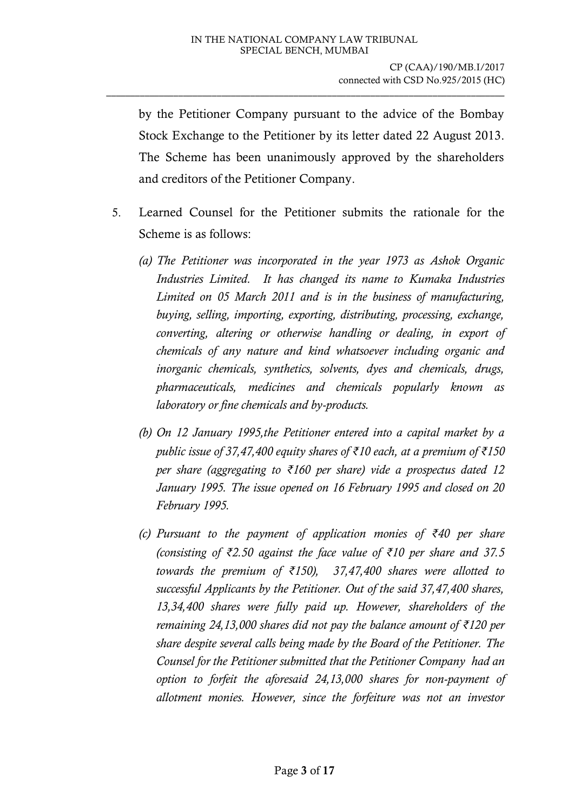by the Petitioner Company pursuant to the advice of the Bombay Stock Exchange to the Petitioner by its letter dated 22 August 2013. The Scheme has been unanimously approved by the shareholders and creditors of the Petitioner Company.

- 5. Learned Counsel for the Petitioner submits the rationale for the Scheme is as follows:
	- *(a) The Petitioner was incorporated in the year 1973 as Ashok Organic Industries Limited. It has changed its name to Kumaka Industries Limited on 05 March 2011 and is in the business of manufacturing, buying, selling, importing, exporting, distributing, processing, exchange, converting, altering or otherwise handling or dealing, in export of chemicals of any nature and kind whatsoever including organic and inorganic chemicals, synthetics, solvents, dyes and chemicals, drugs, pharmaceuticals, medicines and chemicals popularly known as laboratory or fine chemicals and by-products.*
	- *(b) On 12 January 1995,the Petitioner entered into a capital market by a public issue of 37,47,400 equity shares of ₹10 each, at a premium of ₹150 per share (aggregating to ₹160 per share) vide a prospectus dated 12 January 1995. The issue opened on 16 February 1995 and closed on 20 February 1995.*
	- *(c) Pursuant to the payment of application monies of ₹40 per share (consisting of ₹2.50 against the face value of ₹10 per share and 37.5 towards the premium of ₹150), 37,47,400 shares were allotted to successful Applicants by the Petitioner. Out of the said 37,47,400 shares, 13,34,400 shares were fully paid up. However, shareholders of the remaining 24,13,000 shares did not pay the balance amount of ₹120 per share despite several calls being made by the Board of the Petitioner. The Counsel for the Petitioner submitted that the Petitioner Company had an option to forfeit the aforesaid 24,13,000 shares for non-payment of allotment monies. However, since the forfeiture was not an investor*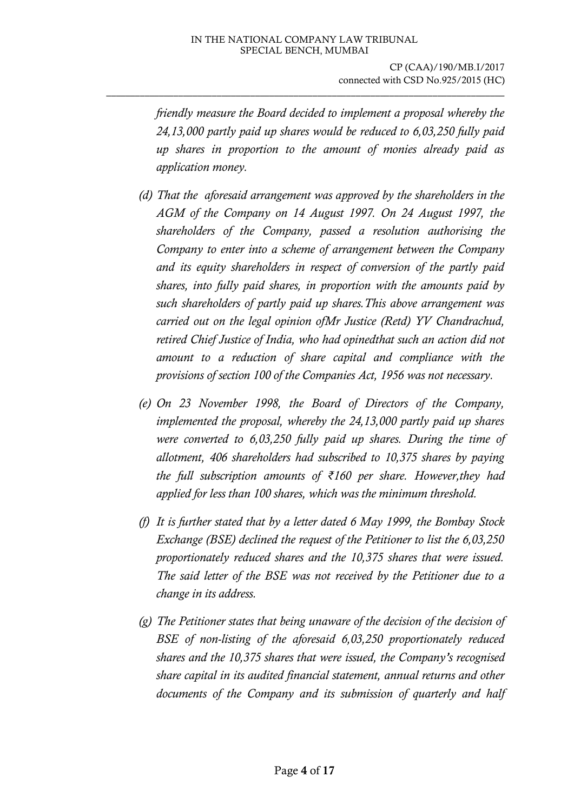*friendly measure the Board decided to implement a proposal whereby the 24,13,000 partly paid up shares would be reduced to 6,03,250 fully paid up shares in proportion to the amount of monies already paid as application money.* 

- *(d) That the aforesaid arrangement was approved by the shareholders in the AGM of the Company on 14 August 1997. On 24 August 1997, the shareholders of the Company, passed a resolution authorising the Company to enter into a scheme of arrangement between the Company and its equity shareholders in respect of conversion of the partly paid shares, into fully paid shares, in proportion with the amounts paid by such shareholders of partly paid up shares.This above arrangement was carried out on the legal opinion ofMr Justice (Retd) YV Chandrachud, retired Chief Justice of India, who had opinedthat such an action did not amount to a reduction of share capital and compliance with the provisions of section 100 of the Companies Act, 1956 was not necessary.*
- *(e) On 23 November 1998, the Board of Directors of the Company, implemented the proposal, whereby the 24,13,000 partly paid up shares were converted to 6,03,250 fully paid up shares. During the time of allotment, 406 shareholders had subscribed to 10,375 shares by paying the full subscription amounts of ₹160 per share. However,they had applied for less than 100 shares, which was the minimum threshold.*
- *(f) It is further stated that by a letter dated 6 May 1999, the Bombay Stock Exchange (BSE) declined the request of the Petitioner to list the 6,03,250 proportionately reduced shares and the 10,375 shares that were issued. The said letter of the BSE was not received by the Petitioner due to a change in its address.*
- *(g) The Petitioner states that being unaware of the decision of the decision of BSE of non-listing of the aforesaid 6,03,250 proportionately reduced shares and the 10,375 shares that were issued, the Company's recognised share capital in its audited financial statement, annual returns and other documents of the Company and its submission of quarterly and half*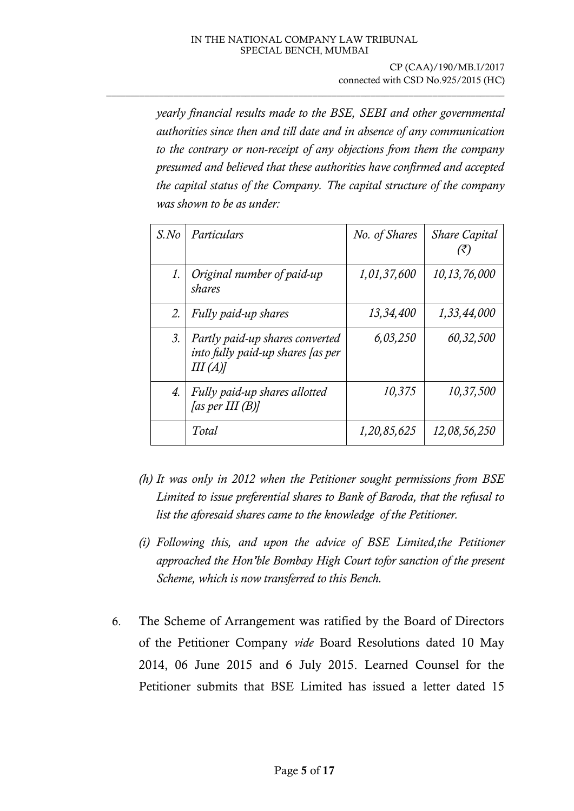*yearly financial results made to the BSE, SEBI and other governmental authorities since then and till date and in absence of any communication to the contrary or non-receipt of any objections from them the company presumed and believed that these authorities have confirmed and accepted the capital status of the Company. The capital structure of the company was shown to be as under:*

| S.No             | Particulars                                                                    | No. of Shares | <b>Share Capital</b><br>(₹ |
|------------------|--------------------------------------------------------------------------------|---------------|----------------------------|
| 1.               | Original number of paid-up<br>shares                                           | 1,01,37,600   | 10, 13, 76, 000            |
| 2.               | Fully paid-up shares                                                           | 13,34,400     | 1,33,44,000                |
| $\mathfrak{Z}$ . | Partly paid-up shares converted<br>into fully paid-up shares [as per<br>III(A) | 6,03,250      | 60,32,500                  |
| 4.               | Fully paid-up shares allotted<br>[as per III $(B)$ ]                           | 10,375        | 10,37,500                  |
|                  | Total                                                                          | 1,20,85,625   | 12,08,56,250               |

- *(h) It was only in 2012 when the Petitioner sought permissions from BSE Limited to issue preferential shares to Bank of Baroda, that the refusal to list the aforesaid shares came to the knowledge of the Petitioner.*
- *(i) Following this, and upon the advice of BSE Limited,the Petitioner approached the Hon'ble Bombay High Court tofor sanction of the present Scheme, which is now transferred to this Bench.*
- 6. The Scheme of Arrangement was ratified by the Board of Directors of the Petitioner Company *vide* Board Resolutions dated 10 May 2014, 06 June 2015 and 6 July 2015. Learned Counsel for the Petitioner submits that BSE Limited has issued a letter dated 15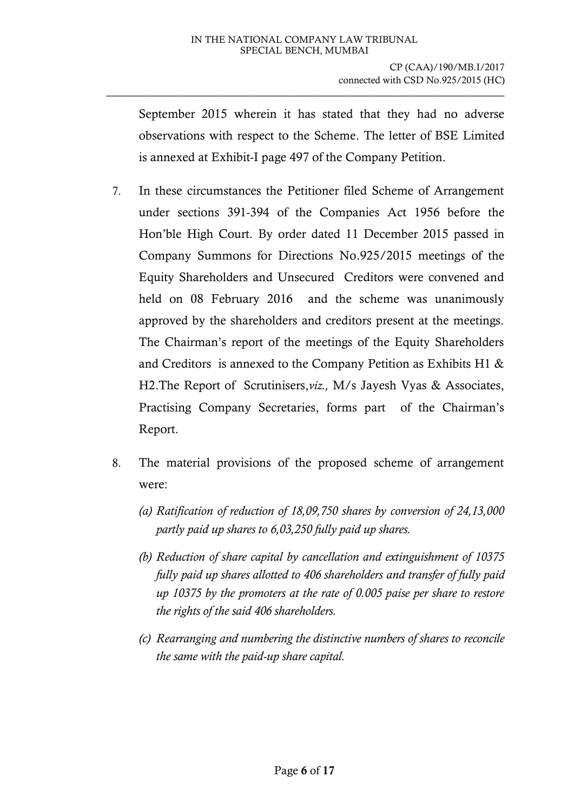September 2015 wherein it has stated that they had no adverse observations with respect to the Scheme. The letter of BSE Limited is annexed at Exhibit-I page 497 of the Company Petition.

- 7. In these circumstances the Petitioner filed Scheme of Arrangement under sections 391-394 of the Companies Act 1956 before the Hon'ble High Court. By order dated 11 December 2015 passed in Company Summons for Directions No.925/2015 meetings of the Equity Shareholders and Unsecured Creditors were convened and held on 08 February 2016 and the scheme was unanimously approved by the shareholders and creditors present at the meetings. The Chairman's report of the meetings of the Equity Shareholders and Creditors is annexed to the Company Petition as Exhibits H1 & H2.The Report of Scrutinisers,*viz.,* M/s Jayesh Vyas & Associates, Practising Company Secretaries, forms part of the Chairman's Report.
- 8. The material provisions of the proposed scheme of arrangement were:
	- *(a) Ratification of reduction of 18,09,750 shares by conversion of 24,13,000 partly paid up shares to 6,03,250 fully paid up shares.*
	- *(b) Reduction of share capital by cancellation and extinguishment of 10375 fully paid up shares allotted to 406 shareholders and transfer of fully paid up 10375 by the promoters at the rate of 0.005 paise per share to restore the rights of the said 406 shareholders.*
	- *(c) Rearranging and numbering the distinctive numbers of shares to reconcile the same with the paid-up share capital.*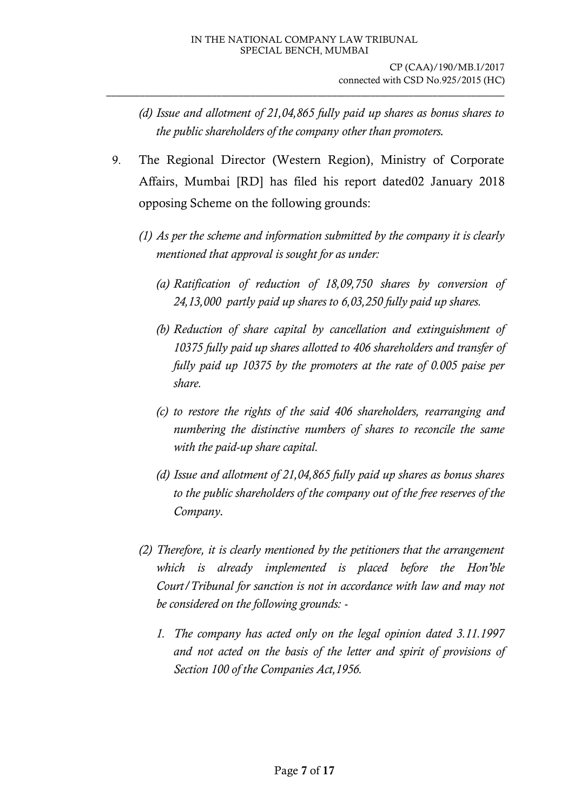- *(d) Issue and allotment of 21,04,865 fully paid up shares as bonus shares to the public shareholders of the company other than promoters.*
- 9. The Regional Director (Western Region), Ministry of Corporate Affairs, Mumbai [RD] has filed his report dated02 January 2018 opposing Scheme on the following grounds:
	- *(1) As per the scheme and information submitted by the company it is clearly mentioned that approval is sought for as under:*
		- *(a) Ratification of reduction of 18,09,750 shares by conversion of 24,13,000 partly paid up shares to 6,03,250 fully paid up shares.*
		- *(b) Reduction of share capital by cancellation and extinguishment of 10375 fully paid up shares allotted to 406 shareholders and transfer of fully paid up 10375 by the promoters at the rate of 0.005 paise per share.*
		- *(c) to restore the rights of the said 406 shareholders, rearranging and numbering the distinctive numbers of shares to reconcile the same with the paid-up share capital.*
		- *(d) Issue and allotment of 21,04,865 fully paid up shares as bonus shares to the public shareholders of the company out of the free reserves of the Company.*
	- *(2) Therefore, it is clearly mentioned by the petitioners that the arrangement which is already implemented is placed before the Hon'ble Court/Tribunal for sanction is not in accordance with law and may not be considered on the following grounds: -*
		- *1. The company has acted only on the legal opinion dated 3.11.1997 and not acted on the basis of the letter and spirit of provisions of Section 100 of the Companies Act,1956.*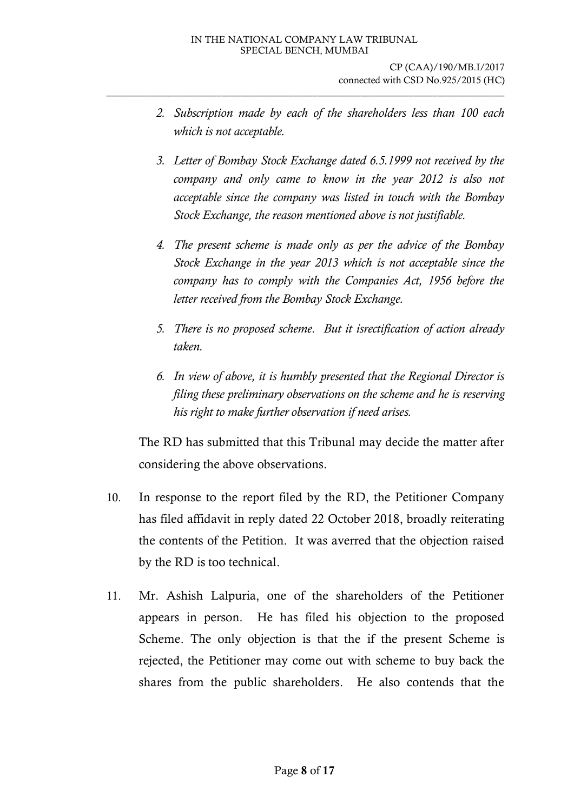- *2. Subscription made by each of the shareholders less than 100 each which is not acceptable.*
- *3. Letter of Bombay Stock Exchange dated 6.5.1999 not received by the company and only came to know in the year 2012 is also not acceptable since the company was listed in touch with the Bombay Stock Exchange, the reason mentioned above is not justifiable.*
- *4. The present scheme is made only as per the advice of the Bombay Stock Exchange in the year 2013 which is not acceptable since the company has to comply with the Companies Act, 1956 before the letter received from the Bombay Stock Exchange.*
- *5. There is no proposed scheme. But it isrectification of action already taken.*
- *6. In view of above, it is humbly presented that the Regional Director is filing these preliminary observations on the scheme and he is reserving his right to make further observation if need arises.*

The RD has submitted that this Tribunal may decide the matter after considering the above observations.

- 10. In response to the report filed by the RD, the Petitioner Company has filed affidavit in reply dated 22 October 2018, broadly reiterating the contents of the Petition. It was averred that the objection raised by the RD is too technical.
- 11. Mr. Ashish Lalpuria, one of the shareholders of the Petitioner appears in person. He has filed his objection to the proposed Scheme. The only objection is that the if the present Scheme is rejected, the Petitioner may come out with scheme to buy back the shares from the public shareholders. He also contends that the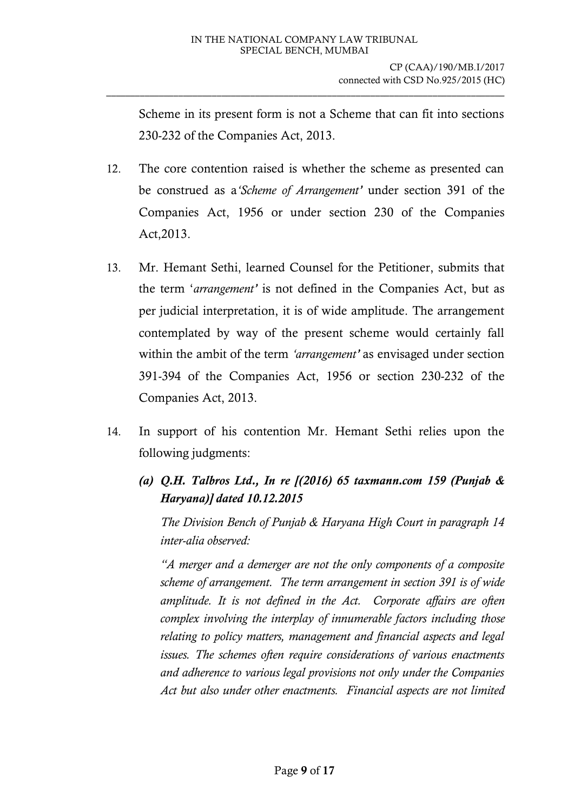Scheme in its present form is not a Scheme that can fit into sections 230-232 of the Companies Act, 2013.

- 12. The core contention raised is whether the scheme as presented can be construed as a*'Scheme of Arrangement'* under section 391 of the Companies Act, 1956 or under section 230 of the Companies Act,2013.
- 13. Mr. Hemant Sethi, learned Counsel for the Petitioner, submits that the term '*arrangement'* is not defined in the Companies Act, but as per judicial interpretation, it is of wide amplitude. The arrangement contemplated by way of the present scheme would certainly fall within the ambit of the term *'arrangement'* as envisaged under section 391-394 of the Companies Act, 1956 or section 230-232 of the Companies Act, 2013.
- 14. In support of his contention Mr. Hemant Sethi relies upon the following judgments:
	- *(a) Q.H. Talbros Ltd., In re [(2016) 65 taxmann.com 159 (Punjab & Haryana)] dated 10.12.2015*

*The Division Bench of Punjab & Haryana High Court in paragraph 14 inter-alia observed:*

*"A merger and a demerger are not the only components of a composite scheme of arrangement. The term arrangement in section 391 is of wide amplitude. It is not defined in the Act. Corporate affairs are often complex involving the interplay of innumerable factors including those relating to policy matters, management and financial aspects and legal issues. The schemes often require considerations of various enactments and adherence to various legal provisions not only under the Companies Act but also under other enactments. Financial aspects are not limited*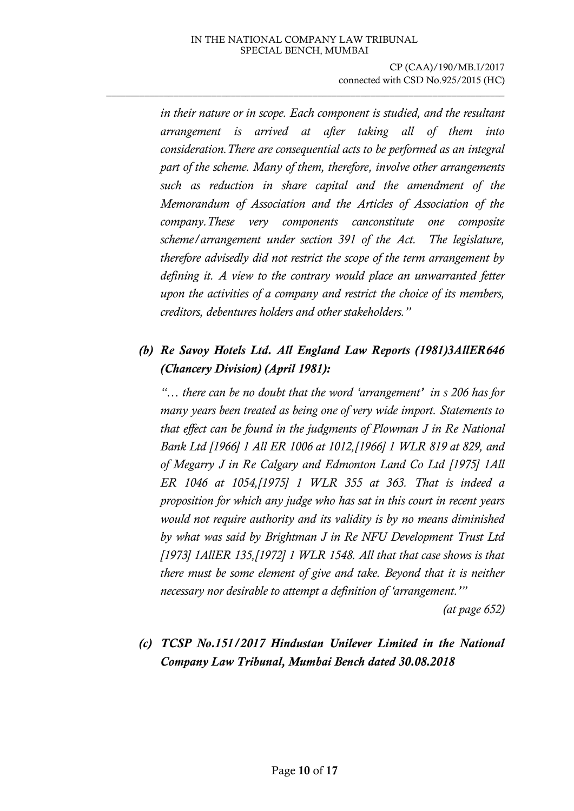*in their nature or in scope. Each component is studied, and the resultant arrangement is arrived at after taking all of them into consideration.There are consequential acts to be performed as an integral part of the scheme. Many of them, therefore, involve other arrangements such as reduction in share capital and the amendment of the Memorandum of Association and the Articles of Association of the company.These very components canconstitute one composite scheme/arrangement under section 391 of the Act. The legislature, therefore advisedly did not restrict the scope of the term arrangement by defining it. A view to the contrary would place an unwarranted fetter upon the activities of a company and restrict the choice of its members, creditors, debentures holders and other stakeholders."*

## *(b) Re Savoy Hotels Ltd. All England Law Reports (1981)3AllER646 (Chancery Division) (April 1981):*

*"… there can be no doubt that the word 'arrangement' in s 206 has for many years been treated as being one of very wide import. Statements to that effect can be found in the judgments of Plowman J in Re National Bank Ltd [1966] 1 All ER 1006 at 1012,[1966] 1 WLR 819 at 829, and of Megarry J in Re Calgary and Edmonton Land Co Ltd [1975] 1All ER 1046 at 1054,[1975] 1 WLR 355 at 363. That is indeed a proposition for which any judge who has sat in this court in recent years would not require authority and its validity is by no means diminished by what was said by Brightman J in Re NFU Development Trust Ltd [1973] 1AllER 135,[1972] 1 WLR 1548. All that that case shows is that there must be some element of give and take. Beyond that it is neither necessary nor desirable to attempt a definition of 'arrangement.'"*

*(at page 652)*

# *(c) TCSP No.151/2017 Hindustan Unilever Limited in the National Company Law Tribunal, Mumbai Bench dated 30.08.2018*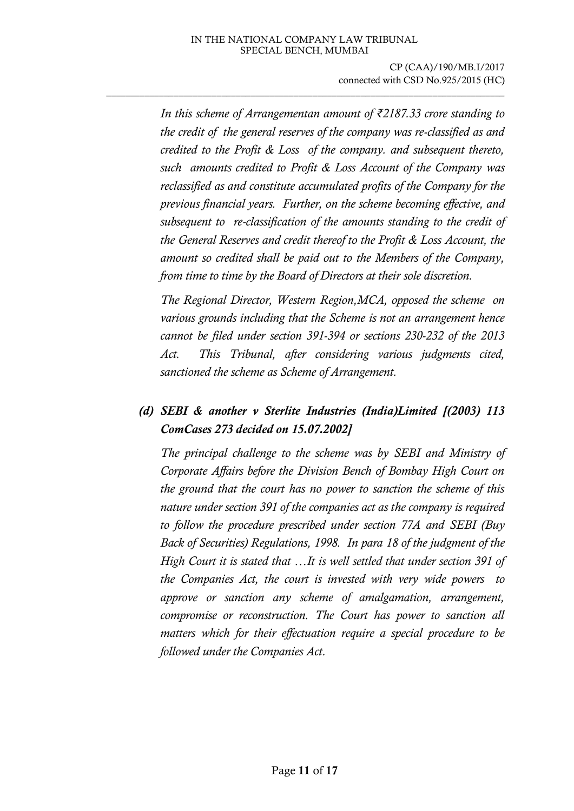*In this scheme of Arrangementan amount of ₹2187.33 crore standing to the credit of the general reserves of the company was re-classified as and credited to the Profit & Loss of the company. and subsequent thereto, such amounts credited to Profit & Loss Account of the Company was reclassified as and constitute accumulated profits of the Company for the previous financial years. Further, on the scheme becoming effective, and subsequent to re-classification of the amounts standing to the credit of the General Reserves and credit thereof to the Profit & Loss Account, the amount so credited shall be paid out to the Members of the Company, from time to time by the Board of Directors at their sole discretion.*

*The Regional Director, Western Region,MCA, opposed the scheme on various grounds including that the Scheme is not an arrangement hence cannot be filed under section 391-394 or sections 230-232 of the 2013 Act. This Tribunal, after considering various judgments cited, sanctioned the scheme as Scheme of Arrangement.*

## *(d) SEBI & another v Sterlite Industries (India)Limited [(2003) 113 ComCases 273 decided on 15.07.2002]*

*The principal challenge to the scheme was by SEBI and Ministry of Corporate Affairs before the Division Bench of Bombay High Court on the ground that the court has no power to sanction the scheme of this nature under section 391 of the companies act as the company is required to follow the procedure prescribed under section 77A and SEBI (Buy Back of Securities) Regulations, 1998. In para 18 of the judgment of the High Court it is stated that …It is well settled that under section 391 of the Companies Act, the court is invested with very wide powers to approve or sanction any scheme of amalgamation, arrangement, compromise or reconstruction. The Court has power to sanction all matters which for their effectuation require a special procedure to be followed under the Companies Act.*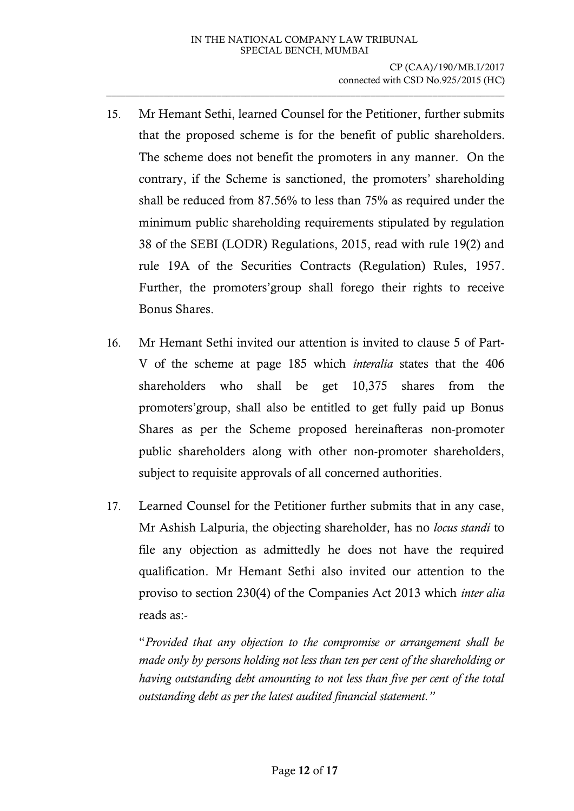- 15. Mr Hemant Sethi, learned Counsel for the Petitioner, further submits that the proposed scheme is for the benefit of public shareholders. The scheme does not benefit the promoters in any manner. On the contrary, if the Scheme is sanctioned, the promoters' shareholding shall be reduced from 87.56% to less than 75% as required under the minimum public shareholding requirements stipulated by regulation 38 of the SEBI (LODR) Regulations, 2015, read with rule 19(2) and rule 19A of the Securities Contracts (Regulation) Rules, 1957. Further, the promoters'group shall forego their rights to receive Bonus Shares.
- 16. Mr Hemant Sethi invited our attention is invited to clause 5 of Part-V of the scheme at page 185 which *interalia* states that the 406 shareholders who shall be get 10,375 shares from the promoters'group, shall also be entitled to get fully paid up Bonus Shares as per the Scheme proposed hereinafteras non-promoter public shareholders along with other non-promoter shareholders, subject to requisite approvals of all concerned authorities.
- 17. Learned Counsel for the Petitioner further submits that in any case, Mr Ashish Lalpuria, the objecting shareholder, has no *locus standi* to file any objection as admittedly he does not have the required qualification. Mr Hemant Sethi also invited our attention to the proviso to section 230(4) of the Companies Act 2013 which *inter alia* reads as:-

"*Provided that any objection to the compromise or arrangement shall be made only by persons holding not less than ten per cent of the shareholding or having outstanding debt amounting to not less than five per cent of the total outstanding debt as per the latest audited financial statement."*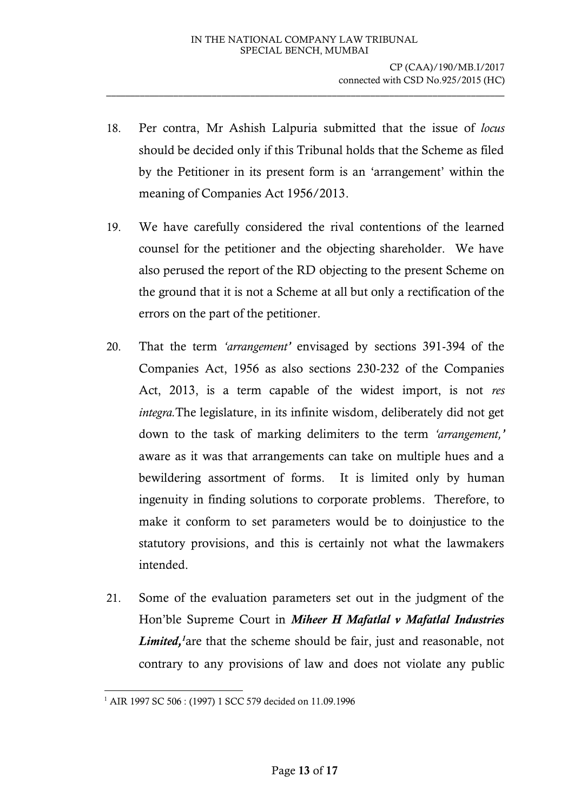- 18. Per contra, Mr Ashish Lalpuria submitted that the issue of *locus* should be decided only if this Tribunal holds that the Scheme as filed by the Petitioner in its present form is an 'arrangement' within the meaning of Companies Act 1956/2013.
- 19. We have carefully considered the rival contentions of the learned counsel for the petitioner and the objecting shareholder. We have also perused the report of the RD objecting to the present Scheme on the ground that it is not a Scheme at all but only a rectification of the errors on the part of the petitioner.
- 20. That the term *'arrangement'* envisaged by sections 391-394 of the Companies Act, 1956 as also sections 230-232 of the Companies Act, 2013, is a term capable of the widest import, is not *res integra.*The legislature, in its infinite wisdom, deliberately did not get down to the task of marking delimiters to the term *'arrangement,'* aware as it was that arrangements can take on multiple hues and a bewildering assortment of forms. It is limited only by human ingenuity in finding solutions to corporate problems. Therefore, to make it conform to set parameters would be to doinjustice to the statutory provisions, and this is certainly not what the lawmakers intended.
- 21. Some of the evaluation parameters set out in the judgment of the Hon'ble Supreme Court in *Miheer H Mafatlal v Mafatlal Industries Limited,<sup>1</sup>*are that the scheme should be fair, just and reasonable, not contrary to any provisions of law and does not violate any public

<sup>-</sup><sup>1</sup> AIR 1997 SC 506 : (1997) 1 SCC 579 decided on 11.09.1996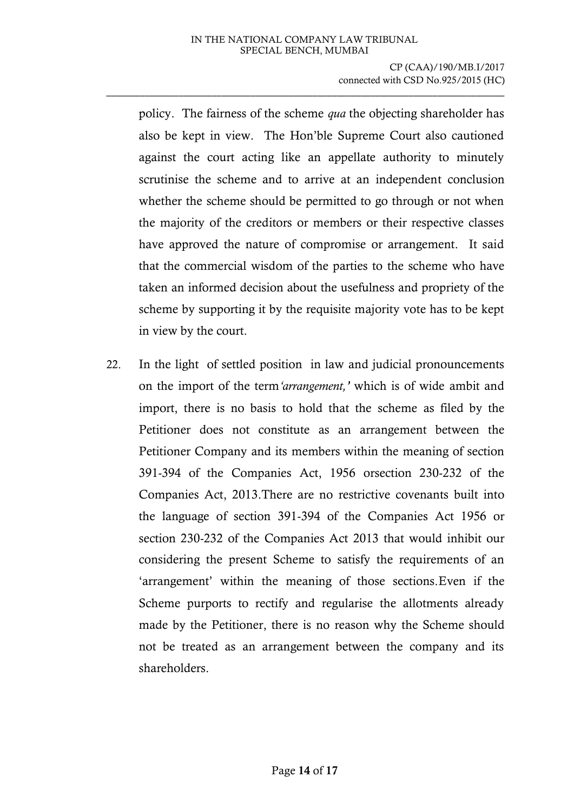policy. The fairness of the scheme *qua* the objecting shareholder has also be kept in view. The Hon'ble Supreme Court also cautioned against the court acting like an appellate authority to minutely scrutinise the scheme and to arrive at an independent conclusion whether the scheme should be permitted to go through or not when the majority of the creditors or members or their respective classes have approved the nature of compromise or arrangement. It said that the commercial wisdom of the parties to the scheme who have taken an informed decision about the usefulness and propriety of the scheme by supporting it by the requisite majority vote has to be kept in view by the court.

22. In the light of settled position in law and judicial pronouncements on the import of the term*'arrangement,'* which is of wide ambit and import, there is no basis to hold that the scheme as filed by the Petitioner does not constitute as an arrangement between the Petitioner Company and its members within the meaning of section 391-394 of the Companies Act, 1956 orsection 230-232 of the Companies Act, 2013.There are no restrictive covenants built into the language of section 391-394 of the Companies Act 1956 or section 230-232 of the Companies Act 2013 that would inhibit our considering the present Scheme to satisfy the requirements of an 'arrangement' within the meaning of those sections.Even if the Scheme purports to rectify and regularise the allotments already made by the Petitioner, there is no reason why the Scheme should not be treated as an arrangement between the company and its shareholders.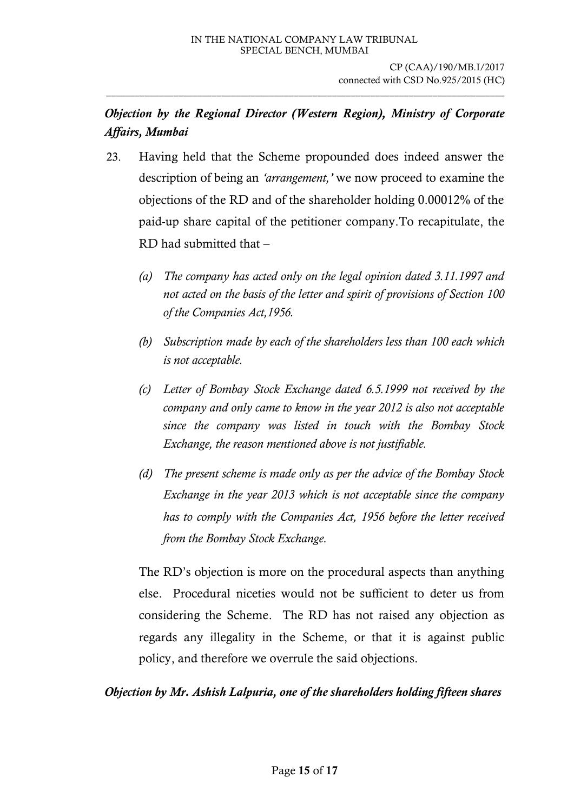# *Objection by the Regional Director (Western Region), Ministry of Corporate Affairs, Mumbai*

\_\_\_\_\_\_\_\_\_\_\_\_\_\_\_\_\_\_\_\_\_\_\_\_\_\_\_\_\_\_\_\_\_\_\_\_\_\_\_\_\_\_\_\_\_\_\_\_\_\_\_\_\_\_\_\_\_\_\_\_\_\_\_\_\_\_\_\_\_\_\_\_\_\_\_\_\_\_\_\_\_\_\_

- 23. Having held that the Scheme propounded does indeed answer the description of being an *'arrangement,'* we now proceed to examine the objections of the RD and of the shareholder holding 0.00012% of the paid-up share capital of the petitioner company.To recapitulate, the RD had submitted that –
	- *(a) The company has acted only on the legal opinion dated 3.11.1997 and not acted on the basis of the letter and spirit of provisions of Section 100 of the Companies Act,1956.*
	- *(b) Subscription made by each of the shareholders less than 100 each which is not acceptable.*
	- *(c) Letter of Bombay Stock Exchange dated 6.5.1999 not received by the company and only came to know in the year 2012 is also not acceptable since the company was listed in touch with the Bombay Stock Exchange, the reason mentioned above is not justifiable.*
	- *(d) The present scheme is made only as per the advice of the Bombay Stock Exchange in the year 2013 which is not acceptable since the company has to comply with the Companies Act, 1956 before the letter received from the Bombay Stock Exchange.*

The RD's objection is more on the procedural aspects than anything else. Procedural niceties would not be sufficient to deter us from considering the Scheme. The RD has not raised any objection as regards any illegality in the Scheme, or that it is against public policy, and therefore we overrule the said objections.

*Objection by Mr. Ashish Lalpuria, one of the shareholders holding fifteen shares*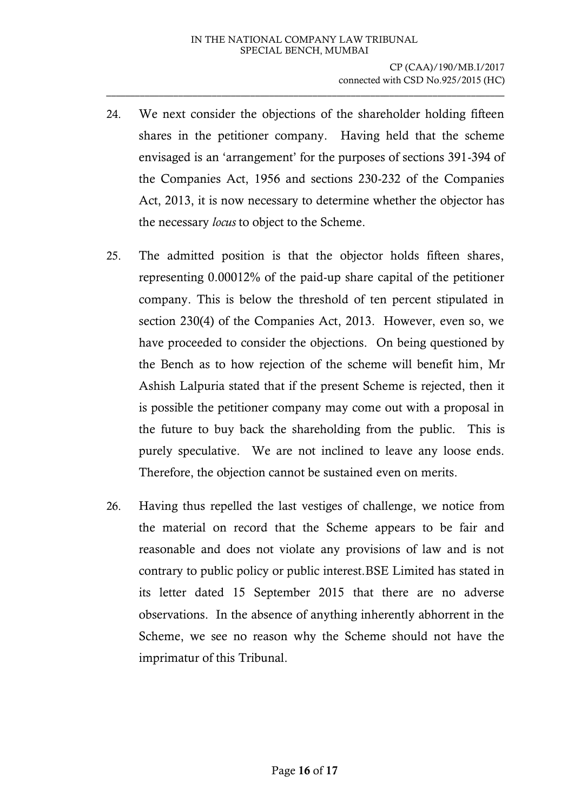- 24. We next consider the objections of the shareholder holding fifteen shares in the petitioner company. Having held that the scheme envisaged is an 'arrangement' for the purposes of sections 391-394 of the Companies Act, 1956 and sections 230-232 of the Companies Act, 2013, it is now necessary to determine whether the objector has the necessary *locus* to object to the Scheme.
- 25. The admitted position is that the objector holds fifteen shares, representing 0.00012% of the paid-up share capital of the petitioner company. This is below the threshold of ten percent stipulated in section 230(4) of the Companies Act, 2013. However, even so, we have proceeded to consider the objections. On being questioned by the Bench as to how rejection of the scheme will benefit him, Mr Ashish Lalpuria stated that if the present Scheme is rejected, then it is possible the petitioner company may come out with a proposal in the future to buy back the shareholding from the public. This is purely speculative. We are not inclined to leave any loose ends. Therefore, the objection cannot be sustained even on merits.
- 26. Having thus repelled the last vestiges of challenge, we notice from the material on record that the Scheme appears to be fair and reasonable and does not violate any provisions of law and is not contrary to public policy or public interest.BSE Limited has stated in its letter dated 15 September 2015 that there are no adverse observations. In the absence of anything inherently abhorrent in the Scheme, we see no reason why the Scheme should not have the imprimatur of this Tribunal.